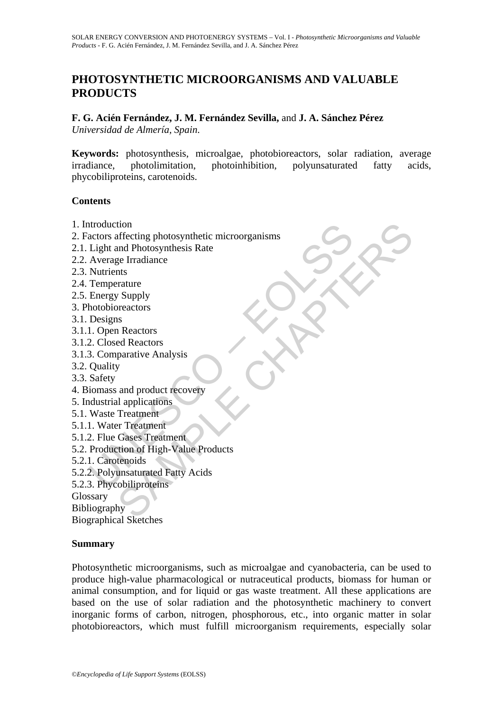# **PHOTOSYNTHETIC MICROORGANISMS AND VALUABLE PRODUCTS**

**F. G. Acién Fernández, J. M. Fernández Sevilla,** and **J. A. Sánchez Pérez**  *Universidad de Almería, Spain*.

**Keywords:** photosynthesis, microalgae, photobioreactors, solar radiation, average irradiance, photolimitation, photoinhibition, polyunsaturated fatty acids, phycobiliproteins, carotenoids.

#### **Contents**

- 1. Introduction
- ntroduction<br>
actors affecting photosynthetic microorganisms<br>
Light and Photosynthesis Rate<br>
Average Irradiance<br>
Average Irradiance<br>
Designs<br>
Designs<br>
1. Open Reactors<br>
2. Closed Reactors<br>
2. Closed Reactors<br>
3. Comparative tiffecting photosynthetic microorganisms<br>
and Photosynthesis Rate<br>
ge Irradiance<br>
rataure<br>
rataure<br>
Supply<br>
reactors<br>
is Reactors<br>
s<br>
and product recovery<br>
and product recovery<br>
Il applications<br>
Treatment<br>
Clases Treatment 2. Factors affecting photosynthetic microorganisms
- 2.1. Light and Photosynthesis Rate
- 2.2. Average Irradiance
- 2.3. Nutrients
- 2.4. Temperature
- 2.5. Energy Supply
- 3. Photobioreactors
- 3.1. Designs
- 3.1.1. Open Reactors
- 3.1.2. Closed Reactors
- 3.1.3. Comparative Analysis
- 3.2. Quality
- 3.3. Safety
- 4. Biomass and product recovery
- 5. Industrial applications
- 5.1. Waste Treatment
- 5.1.1. Water Treatment
- 5.1.2. Flue Gases Treatment
- 5.2. Production of High-Value Products
- 5.2.1. Carotenoids
- 5.2.2. Polyunsaturated Fatty Acids
- 5.2.3. Phycobiliproteins

**Glossary** 

Bibliography

Biographical Sketches

#### **Summary**

Photosynthetic microorganisms, such as microalgae and cyanobacteria, can be used to produce high-value pharmacological or nutraceutical products, biomass for human or animal consumption, and for liquid or gas waste treatment. All these applications are based on the use of solar radiation and the photosynthetic machinery to convert inorganic forms of carbon, nitrogen, phosphorous, etc., into organic matter in solar photobioreactors, which must fulfill microorganism requirements, especially solar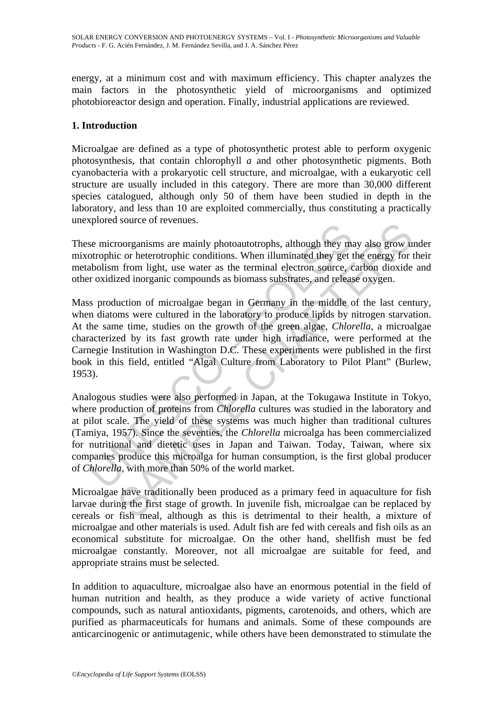energy, at a minimum cost and with maximum efficiency. This chapter analyzes the main factors in the photosynthetic yield of microorganisms and optimized photobioreactor design and operation. Finally, industrial applications are reviewed.

## **1. Introduction**

Microalgae are defined as a type of photosynthetic protest able to perform oxygenic photosynthesis, that contain chlorophyll *a* and other photosynthetic pigments. Both cyanobacteria with a prokaryotic cell structure, and microalgae, with a eukaryotic cell structure are usually included in this category. There are more than 30,000 different species catalogued, although only 50 of them have been studied in depth in the laboratory, and less than 10 are exploited commercially, thus constituting a practically unexplored source of revenues.

These microorganisms are mainly photoautotrophs, although they may also grow under mixotrophic or heterotrophic conditions. When illuminated they get the energy for their metabolism from light, use water as the terminal electron source, carbon dioxide and other oxidized inorganic compounds as biomass substrates, and release oxygen.

se microorganisms are mainly photoautotrophs, although they may<br>otrophic or heterotrophic conditions. When illuminated they get the<br>obtism from light, use water as the terminal electron source, c<br>r oxidized inorganic compo source of revenues.<br>
corganisms are mainly photoautotrophs, although they may also grow u<br>
c or heterotrophic conditions. When illuminated they get the energy for t<br>
form light, use water as the terminal electron source, c Mass production of microalgae began in Germany in the middle of the last century, when diatoms were cultured in the laboratory to produce lipids by nitrogen starvation. At the same time, studies on the growth of the green algae, *Chlorella*, a microalgae characterized by its fast growth rate under high irradiance, were performed at the Carnegie Institution in Washington D.C. These experiments were published in the first book in this field, entitled "Algal Culture from Laboratory to Pilot Plant" (Burlew, 1953).

Analogous studies were also performed in Japan, at the Tokugawa Institute in Tokyo, where production of proteins from *Chlorella* cultures was studied in the laboratory and at pilot scale. The yield of these systems was much higher than traditional cultures (Tamiya, 1957). Since the seventies, the *Chlorella* microalga has been commercialized for nutritional and dietetic uses in Japan and Taiwan. Today, Taiwan, where six companies produce this microalga for human consumption, is the first global producer of *Chlorella*, with more than 50% of the world market.

Microalgae have traditionally been produced as a primary feed in aquaculture for fish larvae during the first stage of growth. In juvenile fish, microalgae can be replaced by cereals or fish meal, although as this is detrimental to their health, a mixture of microalgae and other materials is used. Adult fish are fed with cereals and fish oils as an economical substitute for microalgae. On the other hand, shellfish must be fed microalgae constantly. Moreover, not all microalgae are suitable for feed, and appropriate strains must be selected.

In addition to aquaculture, microalgae also have an enormous potential in the field of human nutrition and health, as they produce a wide variety of active functional compounds, such as natural antioxidants, pigments, carotenoids, and others, which are purified as pharmaceuticals for humans and animals. Some of these compounds are anticarcinogenic or antimutagenic, while others have been demonstrated to stimulate the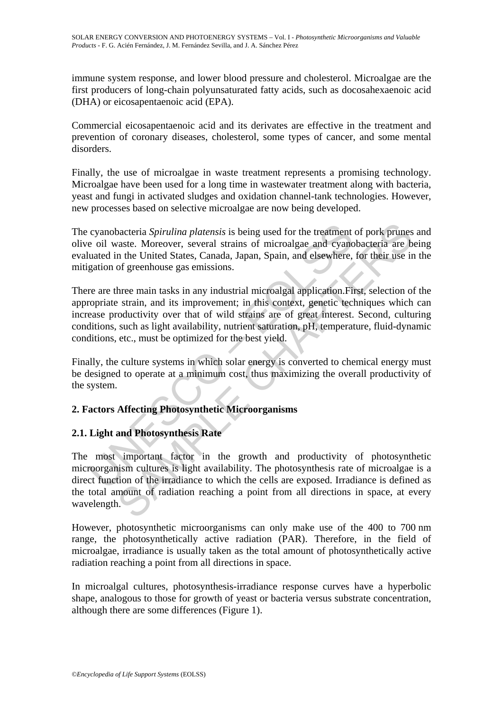immune system response, and lower blood pressure and cholesterol. Microalgae are the first producers of long-chain polyunsaturated fatty acids, such as docosahexaenoic acid (DHA) or eicosapentaenoic acid (EPA).

Commercial eicosapentaenoic acid and its derivates are effective in the treatment and prevention of coronary diseases, cholesterol, some types of cancer, and some mental disorders.

Finally, the use of microalgae in waste treatment represents a promising technology. Microalgae have been used for a long time in wastewater treatment along with bacteria, yeast and fungi in activated sludges and oxidation channel-tank technologies. However, new processes based on selective microalgae are now being developed.

The cyanobacteria *Spirulina platensis* is being used for the treatment of pork prunes and olive oil waste. Moreover, several strains of microalgae and cyanobacteria are being evaluated in the United States, Canada, Japan, Spain, and elsewhere, for their use in the mitigation of greenhouse gas emissions.

cyanobacteria *Spirulina platensis* is being used for the treatment<br>e oil waste. Moreover, several strains of microalgae and cyanc<br>uated in the United States, Canada, Japan, Spain, and elsewhere,<br>gation of greenhouse gas e There are three main tasks in any industrial microalgal application.First, selection of the appropriate strain, and its improvement; in this context, genetic techniques which can increase productivity over that of wild strains are of great interest. Second, culturing conditions, such as light availability, nutrient saturation, pH, temperature, fluid-dynamic conditions, etc., must be optimized for the best yield.

Finally, the culture systems in which solar energy is converted to chemical energy must be designed to operate at a minimum cost, thus maximizing the overall productivity of the system.

## **2. Factors Affecting Photosynthetic Microorganisms**

## **2.1. Light and Photosynthesis Rate**

bacteria *Spirulina platensis* is being used for the treatment of pork primes value. Moreover, several strains of microalgae and cyanobacteria are b in the United States, Canada, Japan, Spain, and elsewhere, for their use The most important factor in the growth and productivity of photosynthetic microorganism cultures is light availability. The photosynthesis rate of microalgae is a direct function of the irradiance to which the cells are exposed. Irradiance is defined as the total amount of radiation reaching a point from all directions in space, at every wavelength.

However, photosynthetic microorganisms can only make use of the 400 to 700 nm range, the photosynthetically active radiation (PAR). Therefore, in the field of microalgae, irradiance is usually taken as the total amount of photosynthetically active radiation reaching a point from all directions in space.

In microalgal cultures, photosynthesis-irradiance response curves have a hyperbolic shape, analogous to those for growth of yeast or bacteria versus substrate concentration, although there are some differences (Figure 1).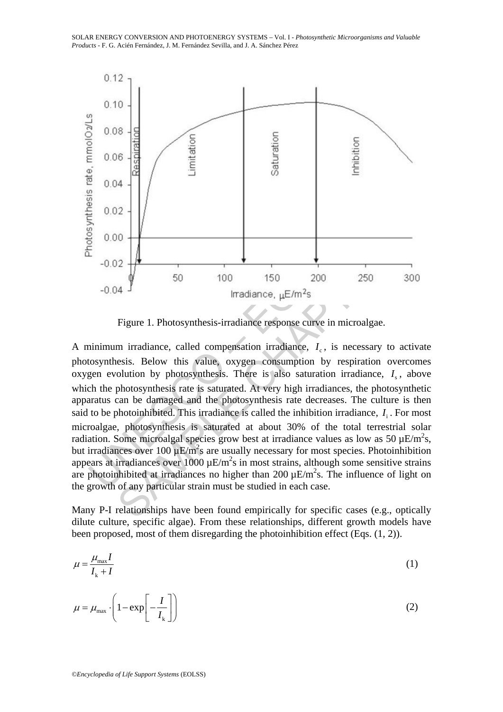

Figure 1. Photosynthesis-irradiance response curve in microalgae.

0.00<br>  $-0.02$ <br>  $-0.04$ <br>  $-0.04$ <br>  $-0.04$ <br>  $-0.04$ <br>  $-0.04$ <br>  $-0.04$ <br>  $-0.04$ <br>  $-0.04$ <br>  $-0.04$ <br>  $-0.04$ <br>  $-0.04$ <br>  $-0.04$ <br>  $-0.00$ <br>  $-0.04$ <br>  $-0.00$ <br>  $-0.02$ <br>  $-0.00$ <br>  $-0.02$ <br>  $-0.03$ <br>  $-0.02$ <br>  $-0.03$ <br>  $-0.04$ <br>  $-0.02$ <br> 12<br>
14<br>
14<br>
14<br>
150 100 150 200 250 30<br>
17 Irradiance,  $\mu E/m^2 s$ <br>
Figure 1. Photosynthesis-irradiance response curve in microalgae.<br>
m irradiance, called compensation irradiance,  $I_c$ , is necessary to actival<br>
19 Irradian A minimum irradiance, called compensation irradiance,  $I<sub>c</sub>$ , is necessary to activate photosynthesis. Below this value, oxygen consumption by respiration overcomes oxygen evolution by photosynthesis. There is also saturation irradiance,  $I_{s}$ , above which the photosynthesis rate is saturated. At very high irradiances, the photosynthetic apparatus can be damaged and the photosynthesis rate decreases. The culture is then said to be photoinhibited. This irradiance is called the inhibition irradiance,  $I_i$ . For most microalgae, photosynthesis is saturated at about 30% of the total terrestrial solar radiation. Some microalgal species grow best at irradiance values as low as 50  $\mu$ E/m<sup>2</sup>s, but irradiances over 100  $\mu$ E/m<sup>2</sup>s are usually necessary for most species. Photoinhibition appears at irradiances over 1000  $\mu$ E/m<sup>2</sup>s in most strains, although some sensitive strains are photoinhibited at irradiances no higher than  $200 \mu E/m^2 s$ . The influence of light on the growth of any particular strain must be studied in each case.

Many P-I relationships have been found empirically for specific cases (e.g., optically dilute culture, specific algae). From these relationships, different growth models have been proposed, most of them disregarding the photoinhibition effect (Eqs. (1, 2)).

$$
\mu = \frac{\mu_{\text{max}} I}{I_{\text{k}} + I} \tag{1}
$$

$$
\mu = \mu_{\text{max}} \cdot \left( 1 - \exp\left[ -\frac{I}{I_{k}} \right] \right) \tag{2}
$$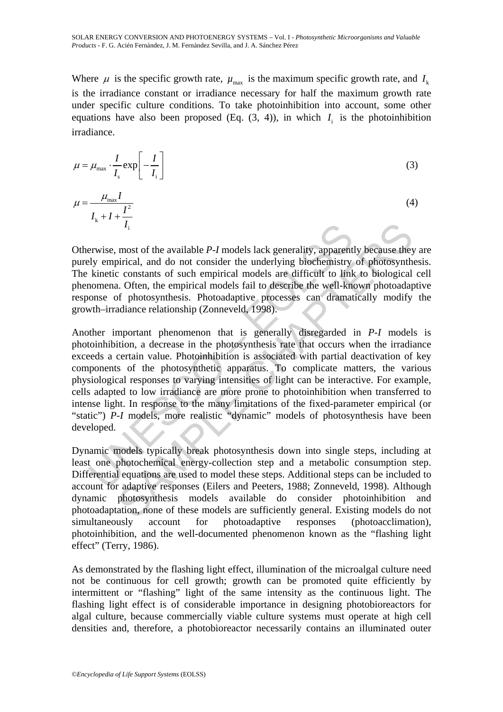Where  $\mu$  is the specific growth rate,  $\mu_{\text{max}}$  is the maximum specific growth rate, and  $I_k$ is the irradiance constant or irradiance necessary for half the maximum growth rate under specific culture conditions. To take photoinhibition into account, some other equations have also been proposed (Eq.  $(3, 4)$ ), in which  $I_i$  is the photoinhibition irradiance.

$$
\mu = \mu_{\text{max}} \cdot \frac{I}{I_s} \exp\left[-\frac{I}{I_i}\right] \tag{3}
$$

$$
\mu = \frac{\mu_{\text{max}} I}{I_{k} + I + \frac{I^{2}}{I_{i}}}
$$
\n(4)

Otherwise, most of the available *P*-*I* models lack generality, apparently because they are purely empirical, and do not consider the underlying biochemistry of photosynthesis. The kinetic constants of such empirical models are difficult to link to biological cell phenomena. Often, the empirical models fail to describe the well-known photoadaptive response of photosynthesis. Photoadaptive processes can dramatically modify the growth–irradiance relationship (Zonneveld, 1998).

 $I_1$ <br>erwise, most of the available  $P-I$  models lack generality, apparent<br>ely empirical, and do not consider the underlying biochemistry<br>kinetic constants of such empirical models are difficult to link<br>nomena. Often, the  $I_1$ <br>most of the available *P-J* models lack generality, apparently because they<br>pirical, and do not consider the underlying bioehemistry of photosynthc<br>c constants of such empirical models are difficult to link to biolo Another important phenomenon that is generally disregarded in *P*-*I* models is photoinhibition, a decrease in the photosynthesis rate that occurs when the irradiance exceeds a certain value. Photoinhibition is associated with partial deactivation of key components of the photosynthetic apparatus. To complicate matters, the various physiological responses to varying intensities of light can be interactive. For example, cells adapted to low irradiance are more prone to photoinhibition when transferred to intense light. In response to the many limitations of the fixed-parameter empirical (or "static") *P-I* models, more realistic "dynamic" models of photosynthesis have been developed.

Dynamic models typically break photosynthesis down into single steps, including at least one photochemical energy-collection step and a metabolic consumption step. Differential equations are used to model these steps. Additional steps can be included to account for adaptive responses (Eilers and Peeters, 1988; Zonneveld, 1998). Although dynamic photosynthesis models available do consider photoinhibition and photoadaptation, none of these models are sufficiently general. Existing models do not simultaneously account for photoadaptive responses (photoacclimation), photoinhibition, and the well-documented phenomenon known as the "flashing light effect" (Terry, 1986).

As demonstrated by the flashing light effect, illumination of the microalgal culture need not be continuous for cell growth; growth can be promoted quite efficiently by intermittent or "flashing" light of the same intensity as the continuous light. The flashing light effect is of considerable importance in designing photobioreactors for algal culture, because commercially viable culture systems must operate at high cell densities and, therefore, a photobioreactor necessarily contains an illuminated outer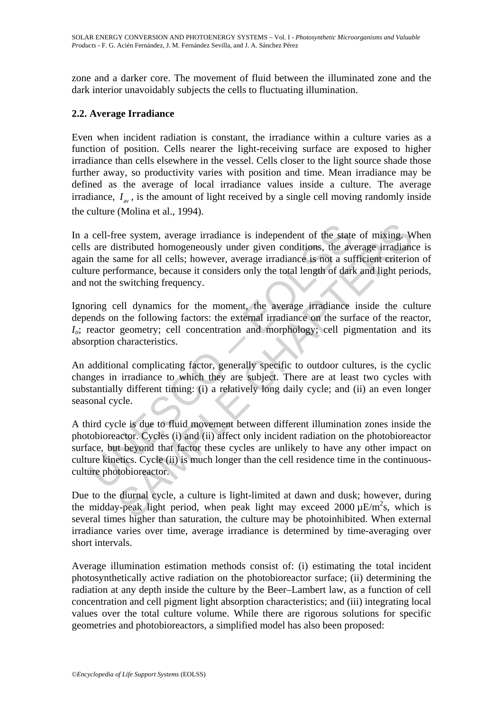zone and a darker core. The movement of fluid between the illuminated zone and the dark interior unavoidably subjects the cells to fluctuating illumination.

## **2.2. Average Irradiance**

Even when incident radiation is constant, the irradiance within a culture varies as a function of position. Cells nearer the light-receiving surface are exposed to higher irradiance than cells elsewhere in the vessel. Cells closer to the light source shade those further away, so productivity varies with position and time. Mean irradiance may be defined as the average of local irradiance values inside a culture. The average irradiance,  $I_{av}$ , is the amount of light received by a single cell moving randomly inside the culture (Molina et al., 1994).

cell-free system, average irradiance is independent of the states are distributed homogeneously under given conditions, the ave in the same for all cells; however, average irradiance is not a sultive performance, because i ee system, average irradiance is independent of the state of mixing. We<br>istributed homogeneously under given conditions, the average irradianc<br>ame for all cells; however, average irradiance is not a sufficient criterio<br>for In a cell-free system, average irradiance is independent of the state of mixing. When cells are distributed homogeneously under given conditions, the average irradiance is again the same for all cells; however, average irradiance is not a sufficient criterion of culture performance, because it considers only the total length of dark and light periods, and not the switching frequency.

Ignoring cell dynamics for the moment, the average irradiance inside the culture depends on the following factors: the external irradiance on the surface of the reactor, *I*<sub>o</sub>; reactor geometry; cell concentration and morphology; cell pigmentation and its absorption characteristics.

An additional complicating factor, generally specific to outdoor cultures, is the cyclic changes in irradiance to which they are subject. There are at least two cycles with substantially different timing: (i) a relatively long daily cycle; and (ii) an even longer seasonal cycle.

A third cycle is due to fluid movement between different illumination zones inside the photobioreactor. Cycles (i) and (ii) affect only incident radiation on the photobioreactor surface, but beyond that factor these cycles are unlikely to have any other impact on culture kinetics. Cycle (ii) is much longer than the cell residence time in the continuousculture photobioreactor.

Due to the diurnal cycle, a culture is light-limited at dawn and dusk; however, during the midday-peak light period, when peak light may exceed  $2000 \mu E/m^2 s$ , which is several times higher than saturation, the culture may be photoinhibited. When external irradiance varies over time, average irradiance is determined by time-averaging over short intervals.

Average illumination estimation methods consist of: (i) estimating the total incident photosynthetically active radiation on the photobioreactor surface; (ii) determining the radiation at any depth inside the culture by the Beer–Lambert law, as a function of cell concentration and cell pigment light absorption characteristics; and (iii) integrating local values over the total culture volume. While there are rigorous solutions for specific geometries and photobioreactors, a simplified model has also been proposed: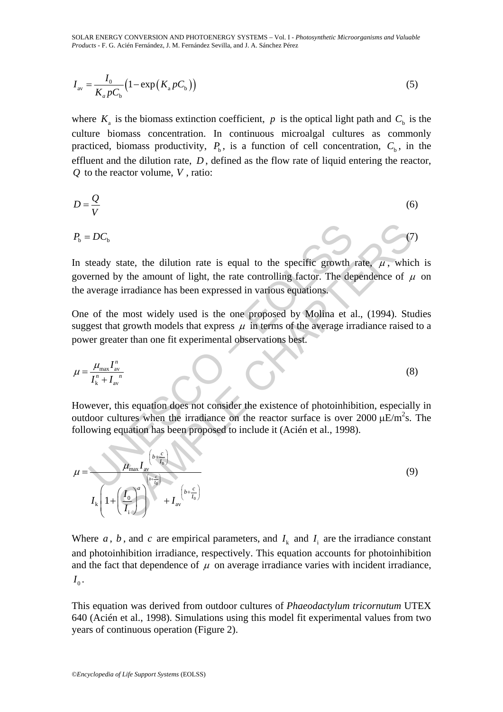SOLAR ENERGY CONVERSION AND PHOTOENERGY SYSTEMS – Vol. I - *Photosynthetic Microorganisms and Valuable Products* - F. G. Acién Fernández, J. M. Fernández Sevilla, and J. A. Sánchez Pérez

$$
I_{\rm av} = \frac{I_0}{K_a p C_{\rm b}} \left( 1 - \exp\left( K_a p C_{\rm b} \right) \right) \tag{5}
$$

where  $K_a$  is the biomass extinction coefficient, p is the optical light path and  $C_b$  is the culture biomass concentration. In continuous microalgal cultures as commonly practiced, biomass productivity,  $P_b$ , is a function of cell concentration,  $C_b$ , in the effluent and the dilution rate, *D* , defined as the flow rate of liquid entering the reactor, *Q* to the reactor volume, *V* , ratio:

$$
D = \frac{Q}{V}
$$
 (6)

$$
P_{\rm b} = DC_{\rm b} \tag{7}
$$

In steady state, the dilution rate is equal to the specific growth rate,  $\mu$ , which is governed by the amount of light, the rate controlling factor. The dependence of  $\mu$  on the average irradiance has been expressed in various equations.

One of the most widely used is the one proposed by Molina et al., (1994). Studies suggest that growth models that express  $\mu$  in terms of the average irradiance raised to a power greater than one fit experimental observations best.

$$
\mu = \frac{\mu_{\text{max}} I_{\text{av}}^n}{I_{\text{k}}^n + I_{\text{av}}} \tag{8}
$$

However, this equation does not consider the existence of photoinhibition, especially in outdoor cultures when the irradiance on the reactor surface is over 2000  $\mu$ E/m<sup>2</sup>s. The following equation has been proposed to include it (Acién et al., 1998).

$$
P_{\rm b} = DC_{\rm b}
$$
\nIn steady state, the dilution rate is equal to the specific growth rate,  $\mu$ , which governed by the amount of light, the rate controlling factor. The dependence of  $\mu$  the average irradiance has been expressed in various equations. One of the most widely used is the one proposed by Molina et al., (1994). Stud suggest that growth models that express  $\mu$  in terms of the average irradiance raised to power greater than one fit experimental observations best.\n\n
$$
\mu = \frac{\mu_{\text{max}} I_{\text{av}}^n}{I_{\text{av}}^n + I_{\text{av}}^n}
$$
\n(8)\n\nHowever, this equation does not consider the existence of photoinhibition, especially outdoor cultures when the irradiance on the reactor surface is over 2000  $\mu$ E/m<sup>2</sup>s. T\nfollowing equation has been proposed to include it (Acién et al., 1998).\n\n
$$
\mu = \frac{\mu_{\text{max}} I_{\text{av}}^{\left(b + \frac{c}{t_0}\right)}}{I_{\text{av}}^{\left(b + \frac{c}{t_0}\right)}} + I_{\text{av}}^{\left(b + \frac{c}{t_0}\right)}
$$
\n(9)

Where  $a$ ,  $b$ , and  $c$  are empirical parameters, and  $I_k$  and  $I_i$  are the irradiance constant and photoinhibition irradiance, respectively. This equation accounts for photoinhibition and the fact that dependence of  $\mu$  on average irradiance varies with incident irradiance,  $I_0$ .

This equation was derived from outdoor cultures of *Phaeodactylum tricornutum* UTEX 640 (Acién et al., 1998). Simulations using this model fit experimental values from two years of continuous operation (Figure 2).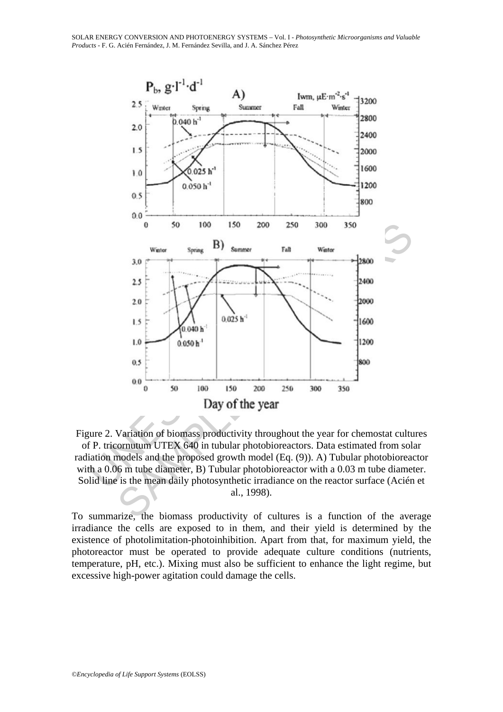

Figure 2. Variation of biomass productivity throughout the year for chemostat cultures of P. tricornutum UTEX 640 in tubular photobioreactors. Data estimated from solar radiation models and the proposed growth model (Eq. (9)). A) Tubular photobioreactor with a 0.06 m tube diameter, B) Tubular photobioreactor with a 0.03 m tube diameter. Solid line is the mean daily photosynthetic irradiance on the reactor surface (Acién et al., 1998).

To summarize, the biomass productivity of cultures is a function of the average irradiance the cells are exposed to in them, and their yield is determined by the existence of photolimitation-photoinhibition. Apart from that, for maximum yield, the photoreactor must be operated to provide adequate culture conditions (nutrients, temperature, pH, etc.). Mixing must also be sufficient to enhance the light regime, but excessive high-power agitation could damage the cells.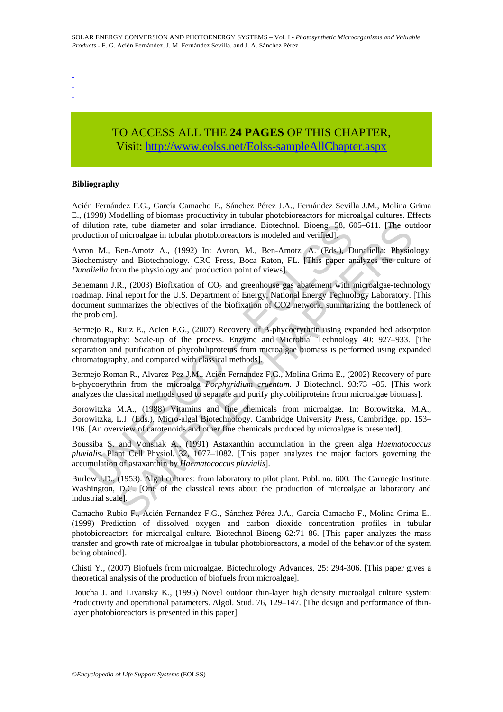- -
- -

## TO ACCESS ALL THE **24 PAGES** OF THIS CHAPTER, Visi[t: http://www.eolss.net/Eolss-sampleAllChapter.aspx](https://www.eolss.net/ebooklib/sc_cart.aspx?File=E6-106-15)

#### **Bibliography**

Acién Fernández F.G., García Camacho F., Sánchez Pérez J.A., Fernández Sevilla J.M., Molina Grima E., (1998) Modelling of biomass productivity in tubular photobioreactors for microalgal cultures. Effects of dilution rate, tube diameter and solar irradiance. Biotechnol. Bioeng. 58, 605–611. [The outdoor production of microalgae in tubular photobioreactors is modeled and verified].

Avron M., Ben-Amotz A., (1992) In: Avron, M., Ben-Amotz, A. (Eds.), Dunaliella: Physiology, Biochemistry and Biotechnology. CRC Press, Boca Raton, FL. [This paper analyzes the culture of *Dunaliella* from the physiology and production point of views].

ilution rate, tube diameter and solar irradiance. Biotechnol. Bioeng. 58, 60<br>
uction of microalgae in tubular photobioreactors is modeled and verified].<br>
In M., Ben-Amotz, A., (1992) In: Avron, M., Ben-Amotz, A. (Eds.), D<br> ate, tube diameter and solar irradiance. Biotechnol. Bioeng, 58, 605-611. [The our metrical calcular photobiercactors is modeled and verified].<br>
Ben-Amotz A., (1992) In: Avron, M., Ben-Amotz, A. (Eds.), Dunafiella: Physio<br> Benemann J.R., (2003) Biofixation of  $CO<sub>2</sub>$  and greenhouse gas abatement with microalgae-technology roadmap. Final report for the U.S. Department of Energy, National Energy Technology Laboratory. [This document summarizes the objectives of the biofixation of CO2 network, summarizing the bottleneck of the problem].

Bermejo R., Ruiz E., Acien F.G., (2007) Recovery of B-phycoerythrin using expanded bed adsorption chromatography: Scale-up of the process. Enzyme and Microbial Technology 40: 927–933. [The separation and purification of phycobiliproteins from microalgae biomass is performed using expanded chromatography, and compared with classical methods].

Bermejo Roman R., Alvarez-Pez J.M., Acién Fernandez F.G., Molina Grima E., (2002) Recovery of pure b-phycoerythrin from the microalga *Porphyridium cruentum*. J Biotechnol. 93:73 –85. [This work analyzes the classical methods used to separate and purify phycobiliproteins from microalgae biomass].

Borowitzka M.A., (1988) Vitamins and fine chemicals from microalgae. In: Borowitzka, M.A., Borowitzka, L.J. (Eds.), Micro-algal Biotechnology. Cambridge University Press, Cambridge, pp. 153– 196. [An overview of carotenoids and other fine chemicals produced by microalgae is presented].

Boussiba S. and Vonshak A., (1991) Astaxanthin accumulation in the green alga *Haematococcus pluvialis*. Plant Cell Physiol. 32, 1077–1082. [This paper analyzes the major factors governing the accumulation of astaxanthin by *Haematococcus pluvialis*].

Burlew J.D., (1953). Algal cultures: from laboratory to pilot plant. Publ. no. 600. The Carnegie Institute. Washington, D.C. [One of the classical texts about the production of microalgae at laboratory and industrial scale].

Camacho Rubio F., Acién Fernandez F.G., Sánchez Pérez J.A., García Camacho F., Molina Grima E., (1999) Prediction of dissolved oxygen and carbon dioxide concentration profiles in tubular photobioreactors for microalgal culture. Biotechnol Bioeng 62:71–86. [This paper analyzes the mass transfer and growth rate of microalgae in tubular photobioreactors, a model of the behavior of the system being obtained].

Chisti Y., (2007) Biofuels from microalgae. Biotechnology Advances, 25: 294-306. [This paper gives a theoretical analysis of the production of biofuels from microalgae].

Doucha J. and Livansky K., (1995) Novel outdoor thin-layer high density microalgal culture system: Productivity and operational parameters. Algol. Stud. 76, 129–147. [The design and performance of thinlayer photobioreactors is presented in this paper].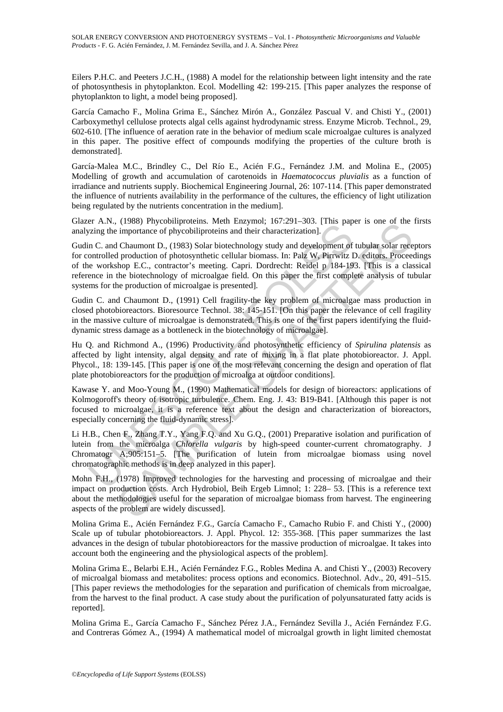Eilers P.H.C. and Peeters J.C.H., (1988) A model for the relationship between light intensity and the rate of photosynthesis in phytoplankton. Ecol. Modelling 42: 199-215. [This paper analyzes the response of phytoplankton to light, a model being proposed].

García Camacho F., Molina Grima E., Sánchez Mirón A., González Pascual V. and Chisti Y., (2001) Carboxymethyl cellulose protects algal cells against hydrodynamic stress. Enzyme Microb. Technol., 29, 602-610. [The influence of aeration rate in the behavior of medium scale microalgae cultures is analyzed in this paper. The positive effect of compounds modifying the properties of the culture broth is demonstrated].

García-Malea M.C., Brindley C., Del Río E., Acién F.G., Fernández J.M. and Molina E., (2005) Modelling of growth and accumulation of carotenoids in *Haematococcus pluvialis* as a function of irradiance and nutrients supply. Biochemical Engineering Journal, 26: 107-114. [This paper demonstrated the influence of nutrients availability in the performance of the cultures, the efficiency of light utilization being regulated by the nutrients concentration in the medium].

Glazer A.N., (1988) Phycobiliproteins. Meth Enzymol; 167:291–303. [This paper is one of the firsts analyzing the importance of phycobiliproteins and their characterization].

Era., (1950) rungoments. stoch can then increased principle. The strategy and properties and their characterization].<br>
The importance of phycobiliproteins and their characterization].<br>
In C. and Chaumont D., (1983) Solar (1986) riugo-mumster mentalizant method and development of the method of the method of the method of photolity<br>religions and their characterization]. Change is one of the change of phycolity<br>proteins and their characteriza Gudin C. and Chaumont D., (1983) Solar biotechnology study and development of tubular solar receptors for controlled production of photosynthetic cellular biomass. In: Palz W, Pirrwitz D. editors. Proceedings of the workshop E.C., contractor's meeting. Capri. Dordrecht: Reidel p 184-193. [This is a classical reference in the biotechnology of microalgae field. On this paper the first complete analysis of tubular systems for the production of microalgae is presented].

Gudin C. and Chaumont D., (1991) Cell fragility-the key problem of microalgae mass production in closed photobioreactors. Bioresource Technol. 38: 145-151. [On this paper the relevance of cell fragility in the massive culture of microalgae is demonstrated. This is one of the first papers identifying the fluiddynamic stress damage as a bottleneck in the biotechnology of microalgae].

Hu Q. and Richmond A., (1996) Productivity and photosynthetic efficiency of *Spirulina platensis* as affected by light intensity, algal density and rate of mixing in a flat plate photobioreactor. J. Appl. Phycol., 18: 139-145. [This paper is one of the most relevant concerning the design and operation of flat plate photobioreactors for the production of microalga at outdoor conditions].

Kawase Y. and Moo-Young M., (1990) Mathematical models for design of bioreactors: applications of Kolmogoroff's theory of isotropic turbulence. Chem. Eng. J. 43: B19-B41. [Although this paper is not focused to microalgae, it is a reference text about the design and characterization of bioreactors, especially concerning the fluid-dynamic stress].

Li H.B., Chen F., Zhang T.Y., Yang F.Q. and Xu G.Q., (2001) Preparative isolation and purification of lutein from the microalga *Chlorella vulgaris* by high-speed counter-current chromatography. J Chromatogr A;905:151–5. [The purification of lutein from microalgae biomass using novel chromatographic methods is in deep analyzed in this paper].

Mohn F.H., (1978) Improved technologies for the harvesting and processing of microalgae and their impact on production costs. Arch Hydrobiol, Beih Ergeb Limnol; 1: 228– 53. [This is a reference text about the methodologies useful for the separation of microalgae biomass from harvest. The engineering aspects of the problem are widely discussed].

Molina Grima E., Acién Fernández F.G., García Camacho F., Camacho Rubio F. and Chisti Y., (2000) Scale up of tubular photobioreactors. J. Appl. Phycol. 12: 355-368. [This paper summarizes the last advances in the design of tubular photobioreactors for the massive production of microalgae. It takes into account both the engineering and the physiological aspects of the problem].

Molina Grima E., Belarbi E.H., Acién Fernández F.G., Robles Medina A. and Chisti Y., (2003) Recovery of microalgal biomass and metabolites: process options and economics. Biotechnol. Adv., 20, 491–515. [This paper reviews the methodologies for the separation and purification of chemicals from microalgae, from the harvest to the final product. A case study about the purification of polyunsaturated fatty acids is reported].

Molina Grima E., García Camacho F., Sánchez Pérez J.A., Fernández Sevilla J., Acién Fernández F.G. and Contreras Gómez A., (1994) A mathematical model of microalgal growth in light limited chemostat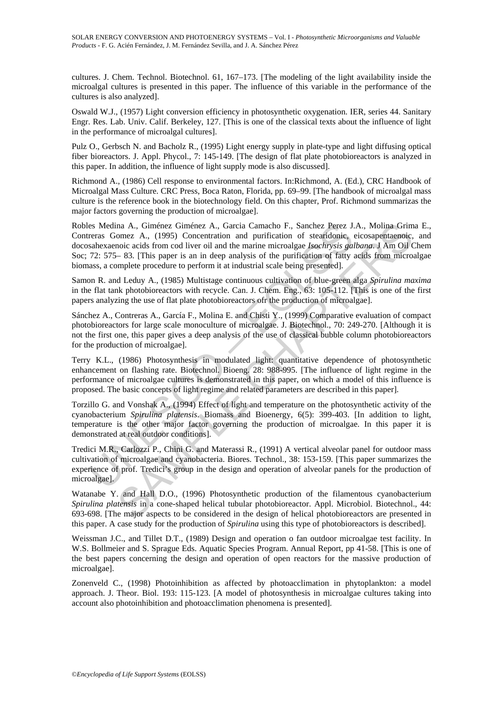cultures. J. Chem. Technol. Biotechnol. 61, 167–173. [The modeling of the light availability inside the microalgal cultures is presented in this paper. The influence of this variable in the performance of the cultures is also analyzed].

Oswald W.J., (1957) Light conversion efficiency in photosynthetic oxygenation. IER, series 44. Sanitary Engr. Res. Lab. Univ. Calif. Berkeley, 127. [This is one of the classical texts about the influence of light in the performance of microalgal cultures].

Pulz O., Gerbsch N. and Bacholz R., (1995) Light energy supply in plate-type and light diffusing optical fiber bioreactors. J. Appl. Phycol., 7: 145-149. [The design of flat plate photobioreactors is analyzed in this paper. In addition, the influence of light supply mode is also discussed].

Richmond A., (1986) Cell response to environmental factors. In:Richmond, A. (Ed.), CRC Handbook of Microalgal Mass Culture. CRC Press, Boca Raton, Florida, pp. 69–99. [The handbook of microalgal mass culture is the reference book in the biotechnology field. On this chapter, Prof. Richmond summarizas the major factors governing the production of microalgae].

es Medina A., Giménez Giménez A., Garcia Camacho F., Sanchez Perez J.<br>reras Gomez A., (1995) Concentration and purification of steariooine,<br>sahexaenoic acids from cod liver oil and the marine microalgae *lsochrysis gat*<br>72 na A., Giménez Giménez A., Garcia Camacho F., Sanchez Perez J.A., Molina Grim<br>nonic A., (1995) Concentration and purification of stearidonic, cicosapentaenoic,<br>nonic acids from cod liver oil and the marine microalgae *Iso* Robles Medina A., Giménez Giménez A., Garcia Camacho F., Sanchez Perez J.A., Molina Grima E., Contreras Gomez A., (1995) Concentration and purification of stearidonic, eicosapentaenoic, and docosahexaenoic acids from cod liver oil and the marine microalgae *Isochrysis galbana*. J Am Oil Chem Soc; 72: 575– 83. [This paper is an in deep analysis of the purification of fatty acids from microalgae biomass, a complete procedure to perform it at industrial scale being presented].

Samon R. and Leduy A., (1985) Multistage continuous cultivation of blue-green alga *Spirulina maxima* in the flat tank photobioreactors with recycle. Can. J. Chem. Eng., 63: 105-112. [This is one of the first papers analyzing the use of flat plate photobioreactors ofr the production of microalgae].

Sánchez A., Contreras A., García F., Molina E. and Chisti Y., (1999) Comparative evaluation of compact photobioreactors for large scale monoculture of microalgae. J. Biotechnol., 70: 249-270. [Although it is not the first one, this paper gives a deep analysis of the use of classical bubble column photobioreactors for the production of microalgae].

Terry K.L., (1986) Photosynthesis in modulated light: quantitative dependence of photosynthetic enhancement on flashing rate. Biotechnol. Bioeng. 28: 988-995. [The influence of light regime in the performance of microalgae cultures is demonstrated in this paper, on which a model of this influence is proposed. The basic concepts of light regime and related parameters are described in this paper].

Torzillo G. and Vonshak A., (1994) Effect of light and temperature on the photosynthetic activity of the cyanobacterium *Spirulina platensis*. Biomass and Bioenergy, 6(5): 399-403. [In addition to light, temperature is the other major factor governing the production of microalgae. In this paper it is demonstrated at real outdoor conditions].

Tredici M.R., Carlozzi P., Chini G. and Materassi R., (1991) A vertical alveolar panel for outdoor mass cultivation of microalgae and cyanobacteria. Biores. Technol., 38: 153-159. [This paper summarizes the experience of prof. Tredici's group in the design and operation of alveolar panels for the production of microalgae].

Watanabe Y. and Hall D.O., (1996) Photosynthetic production of the filamentous cyanobacterium *Spirulina platensis* in a cone-shaped helical tubular photobioreactor. Appl. Microbiol. Biotechnol., 44: 693-698. [The major aspects to be considered in the design of helical photobioreactors are presented in this paper. A case study for the production of *Spirulina* using this type of photobioreactors is described].

Weissman J.C., and Tillet D.T., (1989) Design and operation o fan outdoor microalgae test facility. In W.S. Bollmeier and S. Sprague Eds. Aquatic Species Program. Annual Report, pp 41-58. [This is one of the best papers concerning the design and operation of open reactors for the massive production of microalgae].

Zonenveld C., (1998) Photoinhibition as affected by photoacclimation in phytoplankton: a model approach. J. Theor. Biol. 193: 115-123. [A model of photosynthesis in microalgae cultures taking into account also photoinhibition and photoacclimation phenomena is presented].